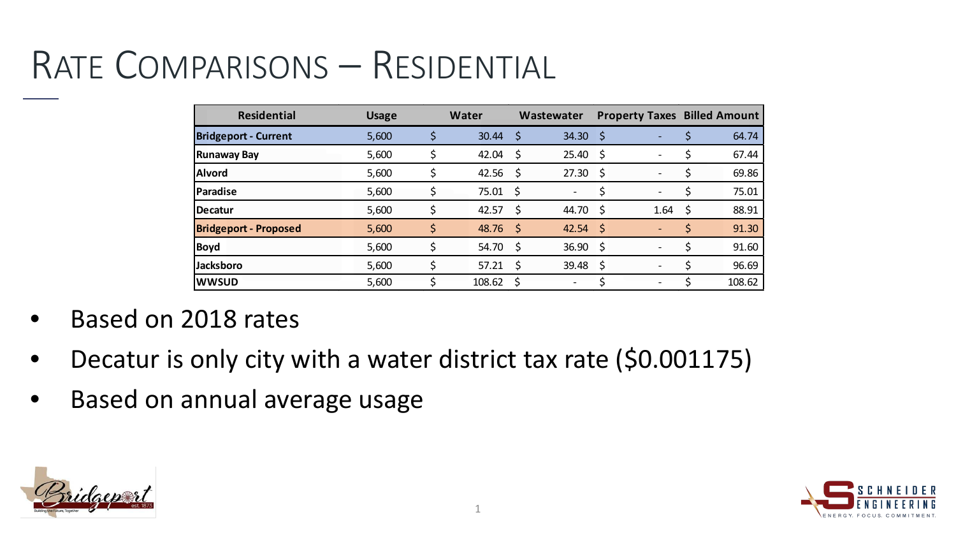## RATE COMPARISONS – RESIDENTIAL

| <b>Residential</b>           | <b>Usage</b> |    | Water  |      | Wastewater               |      | <b>Property Taxes Billed Amount</b> |             |
|------------------------------|--------------|----|--------|------|--------------------------|------|-------------------------------------|-------------|
| <b>Bridgeport - Current</b>  | 5,600        | Ś  | 30.44  | \$   | 34.30                    | \$   |                                     | 64.74       |
| <b>Runaway Bay</b>           | 5,600        |    | 42.04  | \$   | 25.40                    | \$   |                                     | 67.44       |
| <b>Alvord</b>                | 5,600        |    | 42.56  | -\$  | 27.30                    | -\$  | $\overline{\phantom{0}}$            | \$<br>69.86 |
| Paradise                     | 5,600        |    | 75.01  | S.   |                          |      |                                     | 75.01       |
| <b>IDecatur</b>              | 5,600        |    | 42.57  | \$   | 44.70                    | \$   | 1.64                                | \$<br>88.91 |
| <b>Bridgeport - Proposed</b> | 5,600        | \$ | 48.76  | - \$ | 42.54                    | - \$ | $\overline{\phantom{0}}$            | \$<br>91.30 |
| <b>Boyd</b>                  | 5,600        |    | 54.70  | S    | 36.90                    | S.   |                                     | 91.60       |
| <b>Jacksboro</b>             | 5,600        |    | 57.21  | \$   | 39.48                    | \$   |                                     | 96.69       |
| <b>WWSUD</b>                 | 5,600        |    | 108.62 |      | $\overline{\phantom{a}}$ |      |                                     | 108.62      |

- Based on 2018 rates
- Decatur is only city with a water district tax rate (\$0.001175)
- Based on annual average usage



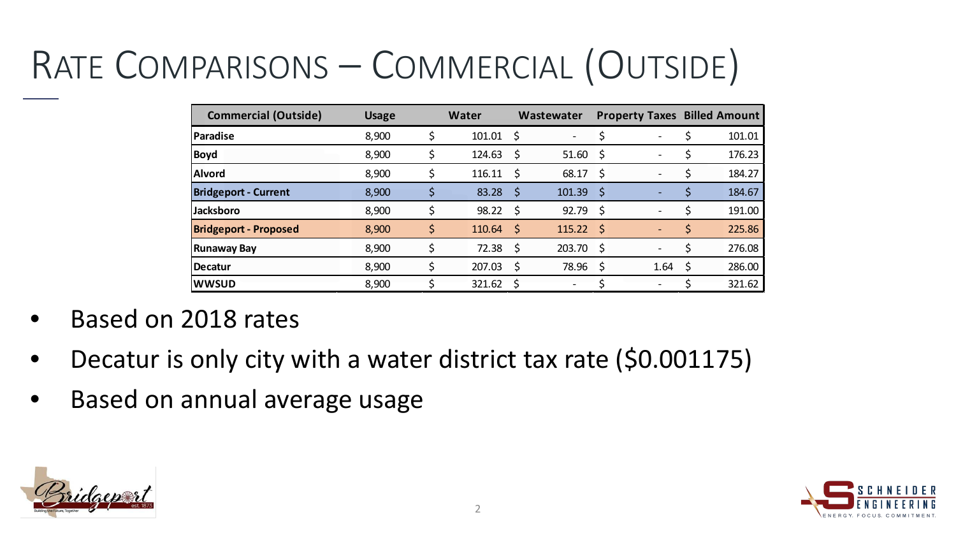## RATE COMPARISONS – COMMERCIAL (OUTSIDE)

| <b>Commercial (Outside)</b>  | <b>Usage</b> | <b>Water</b> |    | Wastewater |     | <b>Property Taxes Billed Amount</b> |    |        |
|------------------------------|--------------|--------------|----|------------|-----|-------------------------------------|----|--------|
| <b>Paradise</b>              | 8,900        | 101.01       | S  |            |     |                                     |    | 101.01 |
| <b>Boyd</b>                  | 8,900        | 124.63       | \$ | 51.60      | \$  |                                     |    | 176.23 |
| <b>Alvord</b>                | 8,900        | 116.11       | \$ | 68.17      | -\$ |                                     |    | 184.27 |
| <b>Bridgeport - Current</b>  | 8,900        | 83.28        | S  | 101.39     | S   |                                     |    | 184.67 |
| <b>Jacksboro</b>             | 8,900        | 98.22        | \$ | 92.79      | \$  |                                     |    | 191.00 |
| <b>Bridgeport - Proposed</b> | 8,900        | 110.64       | \$ | 115.22     | -\$ |                                     | \$ | 225.86 |
| <b>Runaway Bay</b>           | 8,900        | 72.38        | S  | 203.70     | S.  |                                     | S  | 276.08 |
| <b>IDecatur</b>              | 8,900        | 207.03       | \$ | 78.96      | \$  | 1.64                                | S. | 286.00 |
| <b>WWSUD</b>                 | 8,900        | 321.62       |    |            |     |                                     |    | 321.62 |

- Based on 2018 rates
- Decatur is only city with a water district tax rate (\$0.001175)
- Based on annual average usage



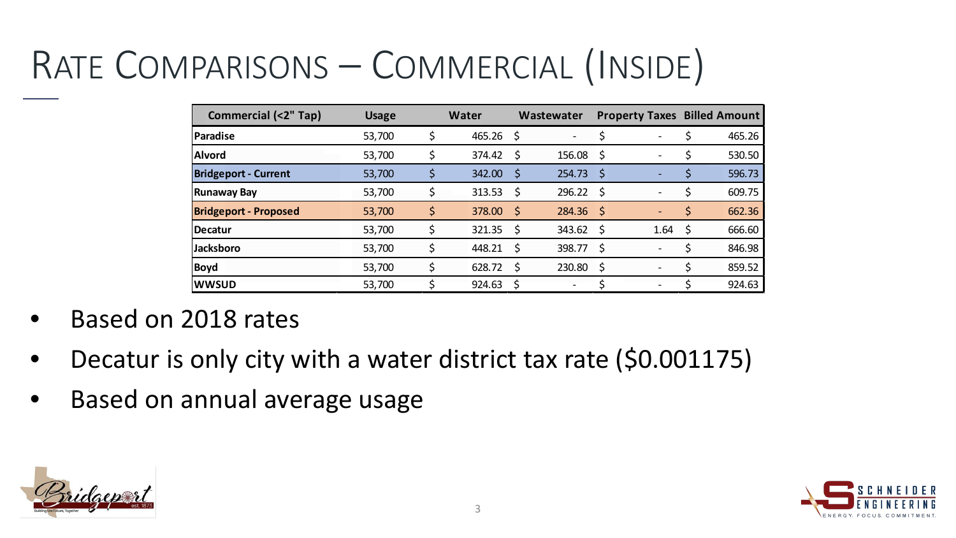## RATE COMPARISONS – COMMERCIAL (INSIDE)

| <b>Commercial (&lt;2" Tap)</b> | <b>Usage</b> | Water       |      | Wastewater  |      | <b>Property Taxes Billed Amount</b> |              |
|--------------------------------|--------------|-------------|------|-------------|------|-------------------------------------|--------------|
| Paradise                       | 53,700       | $465.26$ \$ |      |             |      |                                     | 465.26       |
| <b>Alvord</b>                  | 53,700       | 374.42      | \$   | 156.08      | S    |                                     | 530.50       |
| <b>Bridgeport - Current</b>    | 53,700       | 342.00      | \$   | 254.73      | S    |                                     | 596.73       |
| <b>Runaway Bay</b>             | 53,700       | 313.53      | S    | 296.22      | S    |                                     | 609.75       |
| <b>Bridgeport - Proposed</b>   | 53,700       | 378.00      | ा \$ | $284.36$ \$ |      |                                     | \$<br>662.36 |
| Decatur                        | 53,700       | 321.35      | -\$  | 343.62      | - \$ | 1.64                                | \$<br>666.60 |
| <b>Jacksboro</b>               | 53,700       | 448.21      | S    | 398.77      | S    |                                     | 846.98       |
| <b>Boyd</b>                    | 53,700       | 628.72      | S    | 230.80      | \$   |                                     | 859.52       |
| <b>WWSUD</b>                   | 53,700       | 924.63      |      |             |      |                                     | 924.63       |

- Based on 2018 rates
- Decatur is only city with a water district tax rate (\$0.001175)
- Based on annual average usage